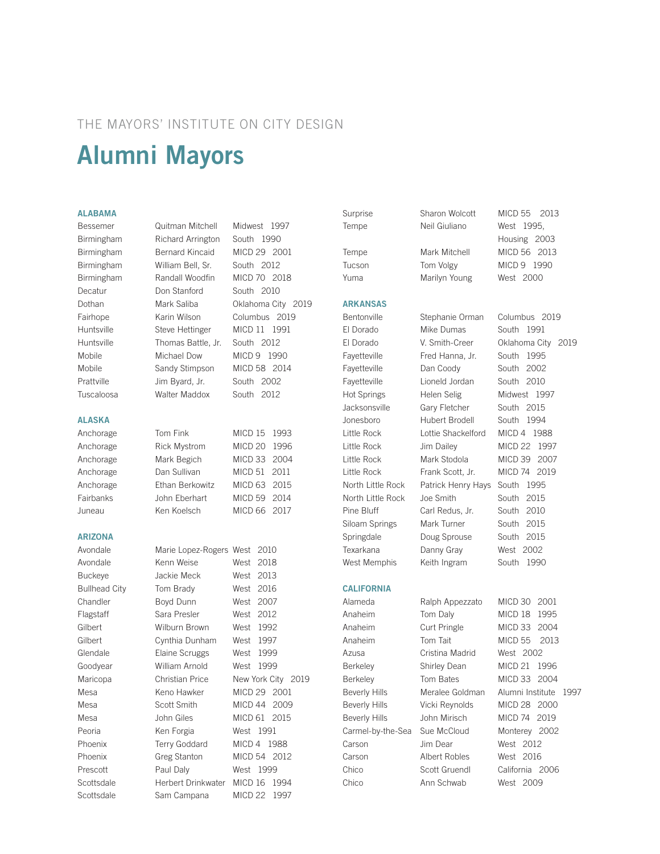# THE MAYORS' INSTITUTE ON CITY DESIGN Alumni Mayors

# ALABAMA

# ALASKA

# ARIZONA

Bessemer Quitman Mitchell Midwest 1997 Birmingham Richard Arrington South 1990 Birmingham Bernard Kincaid MICD 29 2001 Birmingham William Bell, Sr. South 2012 Birmingham Randall Woodfin MICD 70 2018 Decatur Don Stanford South 2010 Dothan Mark Saliba Oklahoma City 2019 Fairhope Karin Wilson Columbus 2019 Huntsville Steve Hettinger MICD 11 1991 Huntsville Thomas Battle, Jr. South 2012 Mobile Michael Dow MICD 9 1990 Mobile Sandy Stimpson MICD 58 2014 Prattville Jim Byard, Jr. South 2002 Tuscaloosa Walter Maddox South 2012

Anchorage Tom Fink MICD 15 1993 Anchorage Rick Mystrom MICD 20 1996 Anchorage Mark Begich MICD 33 2004 Anchorage Dan Sullivan MICD 51 2011 Anchorage Ethan Berkowitz MICD 63 2015 Fairbanks John Eberhart MICD 59 2014 Juneau Ken Koelsch MICD 66 2017

| Avondale             | Marie Lopez-Rogers West 2010 |           |                    |
|----------------------|------------------------------|-----------|--------------------|
| Avondale             | Kenn Weise                   | West 2018 |                    |
| <b>Buckeye</b>       | Jackie Meck                  | West 2013 |                    |
| <b>Bullhead City</b> | Tom Brady                    | West      | 2016               |
| Chandler             | Boyd Dunn                    | West      | 2007               |
| Flagstaff            | Sara Presler                 | West      | 2012               |
| Gilbert              | Wilburn Brown                | West      | 1992               |
| Gilbert              | Cynthia Dunham               | West 1997 |                    |
| Glendale             | Elaine Scruggs               | West 1999 |                    |
| Goodyear             | William Arnold               | West 1999 |                    |
| Maricopa             | Christian Price              |           | New York City 2019 |
| Mesa                 | Keno Hawker                  |           | MICD 29 2001       |
| Mesa                 | Scott Smith                  |           | MICD 44 2009       |
| Mesa                 | John Giles                   |           | MICD 61 2015       |
| Peoria               | Ken Forgia                   | West 1991 |                    |
| Phoenix              | <b>Terry Goddard</b>         |           | MICD 4 1988        |
| Phoenix              | <b>Greg Stanton</b>          |           | MICD 54 2012       |
| Prescott             | Paul Daly                    | West 1999 |                    |
| Scottsdale           | Herbert Drinkwater           | MICD 16   | 1994               |
| Scottsdale           | Sam Campana                  | MICD 22   | 1997               |
|                      |                              |           |                    |

Tempe Neil Giuliano West 1995, Yuma Marilyn Young West 2000 ARKANSAS Texarkana Danny Gray West 2002 **CALIFORNIA** 

Carson Albert Robles West 2016

Alameda Ralph Appezzato MICD 30 2001 Anaheim Tom Daly MICD 18 1995 Azusa Cristina Madrid West 2002 Beverly Hills John Mirisch MICD 74 2019 Carson Jim Dear West 2012

Surprise Sharon Wolcott MICD 55 2013 Housing 2003 Tempe Mark Mitchell MICD 56 2013 Tucson Tom Volgy MICD 9 1990

Bentonville Stephanie Orman Columbus 2019 El Dorado Mike Dumas South 1991 El Dorado V. Smith-Creer Oklahoma City 2019 Fayetteville Fred Hanna, Jr. South 1995 Fayetteville Dan Coody South 2002 Fayetteville Lioneld Jordan South 2010 Hot Springs Helen Selig Midwest 1997 Jacksonsville Gary Fletcher South 2015 Jonesboro Hubert Brodell South 1994 Little Rock Lottie Shackelford MICD 4 1988 Little Rock Jim Dailey MICD 22 1997 Little Rock Mark Stodola MICD 39 2007 Little Rock Frank Scott, Jr. MICD 74 2019 North Little Rock Patrick Henry Hays South 1995 North Little Rock Joe Smith South 2015 Pine Bluff Carl Redus, Jr. South 2010 Siloam Springs Mark Turner South 2015 Springdale Doug Sprouse South 2015 West Memphis Keith Ingram South 1990

Anaheim Curt Pringle MICD 33 2004 Anaheim Tom Tait MICD 55 2013 Berkeley Shirley Dean MICD 21 1996 Berkeley Tom Bates MICD 33 2004 Beverly Hills Meralee Goldman Alumni Institute 1997 Beverly Hills Vicki Reynolds MICD 28 2000 Carmel-by-the-Sea Sue McCloud Monterey 2002 Chico Scott Gruendl California 2006 Chico Ann Schwab West 2009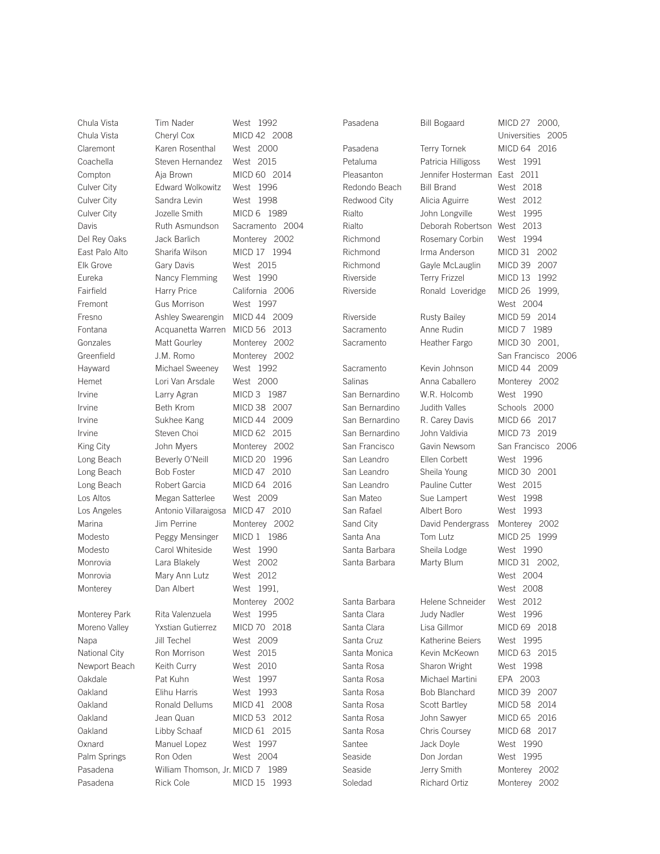Chula Vista Tim Nader West 1992 Chula Vista Cheryl Cox MICD 42 2008 Claremont Karen Rosenthal West 2000 Coachella Steven Hernandez West 2015 Compton Aja Brown MICD 60 2014 Culver City Edward Wolkowitz West 1996 Culver City Sandra Levin West 1998 Culver City **Jozelle Smith** MICD 6 1989 Davis **Ruth Asmundson** Sacramento 2004 Del Rey Oaks Jack Barlich Monterey 2002 East Palo Alto Sharifa Wilson MICD 17 1994 Elk Grove Gary Davis West 2015 Eureka Nancy Flemming West 1990 Fairfield Harry Price California 2006 Fremont Gus Morrison West 1997 Fresno Ashley Swearengin MICD 44 2009 Fontana Acquanetta Warren MICD 56 2013 Gonzales Matt Gourley Monterey 2002 Greenfield J.M. Romo Monterey 2002 Hayward Michael Sweeney West 1992 Hemet Lori Van Arsdale West 2000 Irvine Larry Agran MICD 3 1987 Irvine Beth Krom MICD 38 2007 Irvine Sukhee Kang MICD 44 2009 Irvine Steven Choi MICD 62 2015 King City **John Myers** Monterey 2002 Long Beach Beverly O'Neill MICD 20 1996 Long Beach Bob Foster MICD 47 2010 Long Beach Robert Garcia MICD 64 2016 Los Altos Megan Satterlee West 2009 Los Angeles Antonio Villaraigosa MICD 47 2010 Marina Jim Perrine Monterey 2002 Modesto Peggy Mensinger MICD 1 1986 Modesto Carol Whiteside West 1990 Monrovia Lara Blakely West 2002 Monrovia Mary Ann Lutz West 2012 Monterey Dan Albert West 1991, Monterey Park Rita Valenzuela West 1995 Moreno Valley Yxstian Gutierrez MICD 70 2018 Napa Jill Techel West 2009 National City Ron Morrison West 2015 Newport Beach Keith Curry West 2010 Oakdale Pat Kuhn West 1997 Oakland Elihu Harris West 1993 Oakland Ronald Dellums MICD 41 2008 Oakland Jean Quan MICD 53 2012 Oakland Libby Schaaf MICD 61 2015 Oxnard Manuel Lopez West 1997 Palm Springs Ron Oden West 2004 Pasadena William Thomson, Jr. MICD 7 1989

 Monterey 2002 Pasadena Rick Cole MICD 15 1993

Pasadena Bill Bogaard MICD 27 2000, Santee **Jack Doyle** West 1990 Seaside **Don Jordan** West 1995 Soledad Richard Ortiz Monterey 2002

Pasadena Terry Tornek MICD 64 2016 Petaluma Patricia Hilligoss West 1991 Pleasanton Jennifer Hosterman East 2011 Redondo Beach Bill Brand West 2018 Redwood City Alicia Aguirre West 2012 Rialto John Longville West 1995 Rialto Deborah Robertson West 2013 Richmond Rosemary Corbin West 1994 Richmond Irma Anderson MICD 31 2002 Richmond Gayle McLauglin MICD 39 2007 Riverside Terry Frizzel MICD 13 1992 Riverside Ronald Loveridge MICD 26 1999, Riverside Rusty Bailey MICD 59 2014 Sacramento Anne Rudin MICD 7 1989 Sacramento Heather Fargo MICD 30 2001, Sacramento Kevin Johnson MICD 44 2009 Salinas **Anna Caballero** Monterey 2002 San Bernardino W.R. Holcomb West 1990 San Bernardino Judith Valles Schools 2000 San Bernardino R. Carey Davis MICD 66 2017 San Bernardino John Valdivia MICD 73 2019 San Francisco Gavin Newsom San Francisco 2006 San Leandro Ellen Corbett West 1996 San Leandro Sheila Young MICD 30 2001 San Leandro Pauline Cutter West 2015 San Mateo Sue Lampert West 1998 San Rafael Albert Boro West 1993 Sand City David Pendergrass Monterey 2002 Santa Ana Tom Lutz MICD 25 1999 Santa Barbara Sheila Lodge West 1990 Santa Barbara Marty Blum MICD 31 2002, Santa Barbara Helene Schneider West 2012 Santa Clara **Judy Nadler** West 1996 Santa Clara Lisa Gillmor MICD 69 2018 Santa Cruz Katherine Beiers West 1995 Santa Monica Kevin McKeown MICD 63 2015 Santa Rosa Sharon Wright West 1998 Santa Rosa Michael Martini EPA 2003 Santa Rosa Bob Blanchard MICD 39 2007 Santa Rosa Scott Bartley MICD 58 2014 Santa Rosa John Sawyer MICD 65 2016 Santa Rosa Chris Coursey MICD 68 2017

 Universities 2005 West 2004 San Francisco 2006 West 2004 West 2008 Seaside **Jerry Smith** Monterey 2002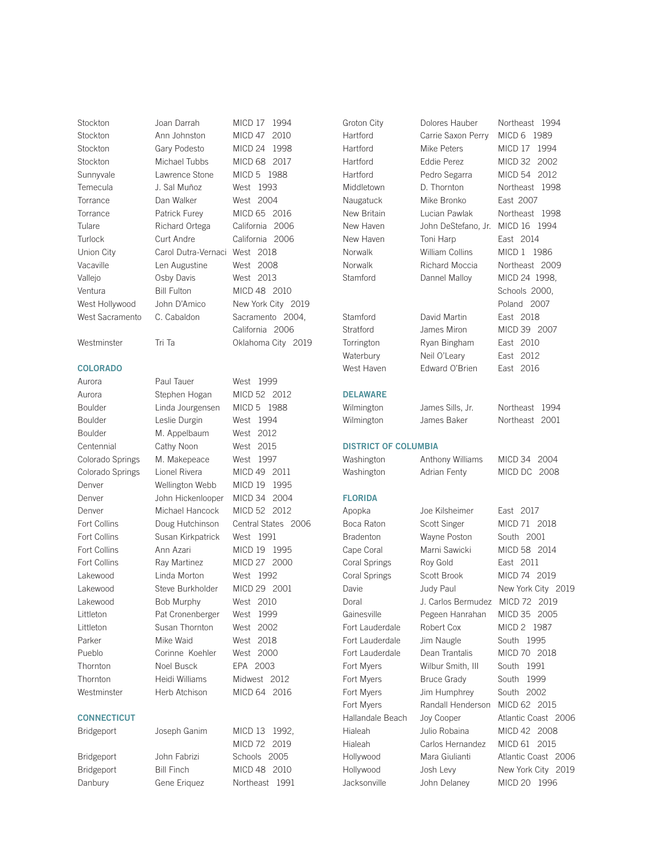Stockton Joan Darrah MICD 17 1994 Stockton Ann Johnston MICD 47 2010 Stockton Gary Podesto MICD 24 1998 Stockton Michael Tubbs MICD 68 2017 Sunnyvale Lawrence Stone MICD 5 1988 Temecula J. Sal Muñoz West 1993 Torrance Dan Walker West 2004 Torrance Patrick Furey MICD 65 2016 Tulare Richard Ortega California 2006 Turlock Curt Andre California 2006 Union City Carol Dutra-Vernaci West 2018 Vacaville Len Augustine West 2008 Vallejo Csby Davis West 2013 Ventura Bill Fulton MICD 48 2010 West Hollywood John D'Amico New York City 2019 West Sacramento C. Cabaldon Sacramento 2004,

Westminster Tri Ta Chahoma City 2019

# COLORADO

Thornton Noel Busck EPA 2003

# **CONNECTICUT**

Bridgeport Bill Finch MICD 48 2010 Danbury **Gene Eriquez** Northeast 1991

Aurora **Paul Tauer** West 1999 Aurora Stephen Hogan MICD 52 2012 Boulder Linda Jourgensen MICD 5 1988 Boulder Leslie Durgin West 1994 Boulder M. Appelbaum West 2012 Centennial Cathy Noon West 2015 Colorado Springs M. Makepeace West 1997 Colorado Springs Lionel Rivera MICD 49 2011 Denver Wellington Webb MICD 19 1995 Denver John Hickenlooper MICD 34 2004 Denver Michael Hancock MICD 52 2012 Fort Collins **Doug Hutchinson** Central States 2006 Fort Collins Susan Kirkpatrick West 1991 Fort Collins Ann Azari MICD 19 1995 Fort Collins Ray Martinez MICD 27 2000 Lakewood Linda Morton West 1992 Lakewood Steve Burkholder MICD 29 2001 Lakewood Bob Murphy West 2010 Littleton Pat Cronenberger West 1999 Littleton Susan Thornton West 2002 Parker Mike Waid West 2018 Pueblo Corinne Koehler West 2000 Thornton Heidi Williams Midwest 2012 Westminster Herb Atchison MICD 64 2016 Bridgeport Joseph Ganim MICD 13 1992, MICD 72 2019 Bridgeport John Fabrizi Schools 2005

California 2006

**DELAW DISTRIC FLORID** 

| Groton City                 | Dolores Hauber                  | Northeast<br>1994         |
|-----------------------------|---------------------------------|---------------------------|
| Hartford                    | Carrie Saxon Perry              | MICD 6 1989               |
| Hartford                    | Mike Peters                     | MICD 17 1994              |
| Hartford                    | Eddie Perez                     | MICD 32<br>2002           |
| Hartford                    | Pedro Segarra                   | MICD 54<br>2012           |
| Middletown                  | D. Thornton                     | Northeast 1998            |
| Naugatuck                   | Mike Bronko                     | East 2007                 |
| New Britain                 | Lucian Pawlak                   | Northeast<br>1998         |
| New Haven                   | John DeStefano, Jr.             | MICD 16 1994              |
| New Haven                   | Toni Harp                       | East 2014                 |
| Norwalk                     | William Collins                 | MICD 1 1986               |
| <b>Norwalk</b>              | Richard Moccia                  | Northeast 2009            |
| Stamford                    | Dannel Malloy                   | MICD 24 1998.             |
|                             |                                 | Schools 2000,             |
|                             |                                 | Poland<br>2007            |
| Stamford                    | David Martin                    | East 2018                 |
|                             |                                 |                           |
| Stratford                   | James Miron                     | MICD 39 2007              |
| Torrington                  | Ryan Bingham                    | East 2010                 |
| Waterbury                   | Neil O'Leary                    | East 2012                 |
| West Haven                  | Edward O'Brien                  | East 2016                 |
| <b>DELAWARE</b>             |                                 |                           |
| Wilmington                  |                                 | Northeast<br>1994         |
| Wilmington                  | James Sills, Jr.<br>James Baker | Northeast<br>2001         |
|                             |                                 |                           |
| <b>DISTRICT OF COLUMBIA</b> |                                 |                           |
| Washington                  | Anthony Williams                | MICD 34<br>2004           |
| Washington                  | Adrian Fenty                    | MICD DC<br>2008           |
|                             |                                 |                           |
| <b>FLORIDA</b>              |                                 |                           |
| Apopka                      | Joe Kilsheimer                  | East 2017                 |
| Boca Raton                  | <b>Scott Singer</b>             | MICD 71 2018              |
| <b>Bradenton</b>            | Wayne Poston                    | South 2001                |
| Cape Coral                  | Marni Sawicki                   | MICD 58 2014              |
| Coral Springs               | Roy Gold                        | East 2011                 |
| <b>Coral Springs</b>        | Scott Brook                     | MICD 74 2019              |
| Davie                       | Judy Paul                       | New York City 2019        |
| Doral                       | J. Carlos Bermudez MICD 72 2019 |                           |
| Gainesville                 | Pegeen Hanrahan                 | MICD 35<br>2005           |
| Fort Lauderdale             | Robert Cox                      | MICD <sub>2</sub><br>1987 |
| Fort Lauderdale             | Jim Naugle                      | 1995<br>South             |
| Fort Lauderdale             | Dean Trantalis                  | MICD 70<br>2018           |
| Fort Myers                  | Wilbur Smith, III               | South<br>1991             |
| Fort Myers                  | <b>Bruce Grady</b>              | South<br>1999             |
| Fort Myers                  |                                 | 2002<br>South             |
|                             | Jim Humphrey                    |                           |
| Fort Myers                  | Randall Henderson               | MICD 62<br>2015           |
| Hallandale Beach            | Joy Cooper                      | Atlantic Coast 2006       |
| Hialeah                     | Julio Robaina                   | MICD 42<br>2008           |
| Hialeah                     | Carlos Hernandez                | MICD 61<br>2015           |
| Hollywood                   | Mara Giulianti                  | Atlantic Coast 2006       |
| Hollywood                   | Josh Levy                       | New York City<br>2019     |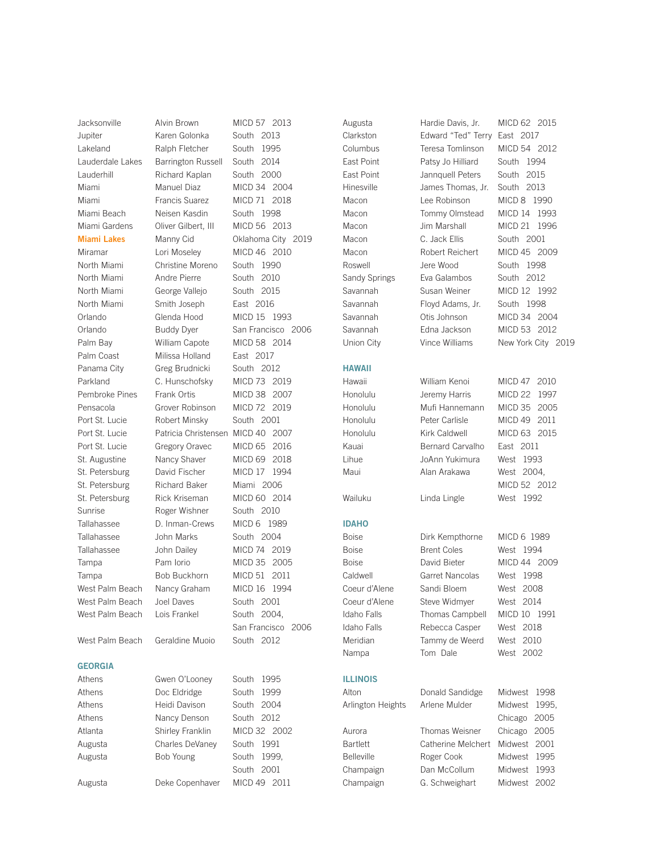Jacksonville Alvin Brown MICD 57 2013 Jupiter Karen Golonka South 2013 Lakeland Ralph Fletcher South 1995 Lauderdale Lakes Barrington Russell South 2014 Lauderhill Richard Kaplan South 2000 Miami Manuel Diaz MICD 34 2004 Miami Francis Suarez MICD 71 2018 Miami Beach Neisen Kasdin South 1998 Miami Gardens Oliver Gilbert, III MICD 56 2013

North Miami Christine Moreno South 1990 North Miami Andre Pierre South 2010 North Miami George Vallejo South 2015 North Miami Smith Joseph East 2016 Orlando Glenda Hood MICD 15 1993 Palm Bay William Capote MICD 58 2014 Palm Coast Milissa Holland East 2017 Panama City Greg Brudnicki South 2012 Parkland C. Hunschofsky MICD 73 2019 Pembroke Pines Frank Ortis MICD 38 2007 Pensacola Grover Robinson MICD 72 2019 Port St. Lucie Robert Minsky South 2001 Port St. Lucie Patricia Christensen MICD 40 2007 Port St. Lucie Gregory Oravec MICD 65 2016 St. Augustine Nancy Shaver MICD 69 2018 St. Petersburg David Fischer MICD 17 1994 St. Petersburg Richard Baker Miami 2006 St. Petersburg Rick Kriseman MICD 60 2014 Sunrise Roger Wishner South 2010 Tallahassee D. Inman-Crews MICD 6 1989 Tallahassee John Marks South 2004 Tallahassee John Dailey MICD 74 2019 Tampa Pam Iorio MICD 35 2005 Tampa Bob Buckhorn MICD 51 2011 West Palm Beach Nancy Graham MICD 16 1994 West Palm Beach Joel Daves South 2001 West Palm Beach Lois Frankel South 2004,

# GEORGIA

Athens Gwen O'Looney South 1995 Athens Doc Eldridge South 1999 Athens Heidi Davison South 2004 Athens **Nancy Denson** South 2012 Atlanta Shirley Franklin MICD 32 2002 Augusta Charles DeVaney South 1991 Augusta Bob Young South 1999, South 2001 Augusta Deke Copenhaver MICD 49 2011

Miami Lakes Manny Cid Oklahoma City 2019 Miramar Lori Moseley MICD 46 2010 Orlando Buddy Dyer San Francisco 2006 San Francisco 2006 West Palm Beach Geraldine Muoio South 2012

HAWAII IDAHO

- -

# ILLINOIS

Augusta Hardie Davis, Jr. MICD 62 2015 Clarkston Edward "Ted" Terry East 2017 Columbus Teresa Tomlinson MICD 54 2012 East Point **Patsy Jo Hilliard** South 1994 East Point Jannquell Peters South 2015 Hinesville James Thomas, Jr. South 2013 Macon Lee Robinson MICD 8 1990 Macon Tommy Olmstead MICD 14 1993 Macon Jim Marshall MICD 21 1996 Macon C. Jack Ellis South 2001 Macon Robert Reichert MICD 45 2009 Roswell **Jere Wood** South 1998 Sandy Springs Eva Galambos South 2012 Savannah Susan Weiner MICD 12 1992 Savannah Floyd Adams, Jr. South 1998 Savannah Otis Johnson MICD 34 2004 Savannah Edna Jackson MICD 53 2012

Union City **Vince Williams** New York City 2019

Hawaii William Kenoi MICD 47 2010 Honolulu Jeremy Harris MICD 22 1997 Honolulu Mufi Hannemann MICD 35 2005 Honolulu Peter Carlisle MICD 49 2011 Honolulu Kirk Caldwell MICD 63 2015 Kauai Bernard Carvalho East 2011 Lihue JoAnn Yukimura West 1993 Maui **Alan Arakawa** West 2004, MICD 52 2012 Wailuku Linda Lingle West 1992

Boise Dirk Kempthorne MICD 6 1989 Boise Brent Coles West 1994 Boise David Bieter MICD 44 2009 Caldwell Garret Nancolas West 1998 Coeur d'Alene Sandi Bloem West 2008 Coeur d'Alene Steve Widmyer West 2014 Idaho Falls Thomas Campbell MICD 10 1991 Idaho Falls Rebecca Casper West 2018 Meridian Tammy de Weerd West 2010 Nampa Tom Dale West 2002

Alton Donald Sandidge Midwest 1998 Arlington Heights Arlene Mulder Midwest 1995, Chicago 2005 Aurora Thomas Weisner Chicago 2005 Bartlett Catherine Melchert Midwest 2001 Belleville Roger Cook Midwest 1995 Champaign Dan McCollum Midwest 1993 Champaign G. Schweighart Midwest 2002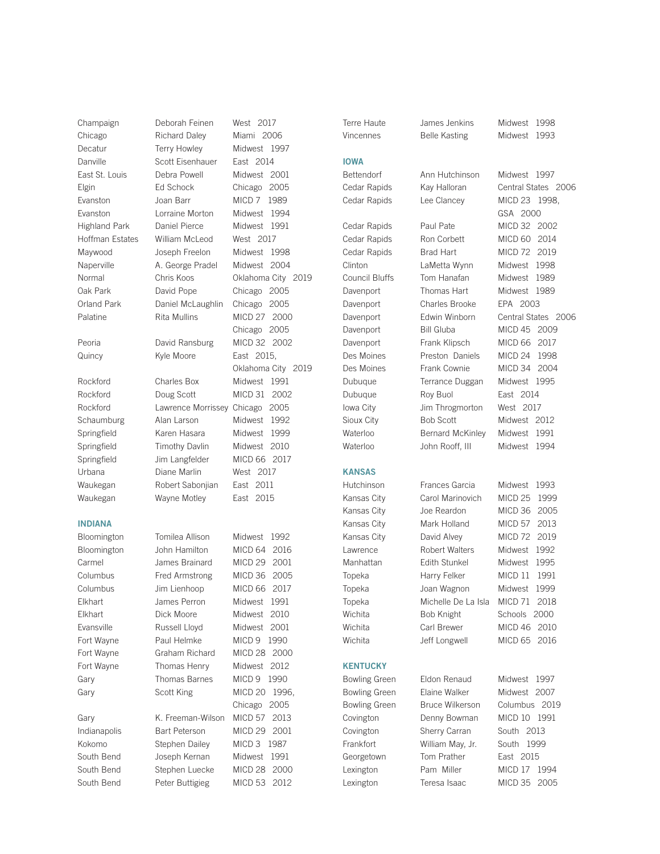# INDIANA

Champaign Deborah Feinen West 2017 Chicago Richard Daley Miami 2006 Decatur Terry Howley Midwest 1997 Danville Scott Eisenhauer East 2014 East St. Louis Debra Powell Midwest 2001 Elgin Ed Schock Chicago 2005 Evanston Joan Barr MICD 7 1989 Evanston Lorraine Morton Midwest 1994 Highland Park Daniel Pierce Midwest 1991 Hoffman Estates William McLeod West 2017 Maywood Joseph Freelon Midwest 1998 Naperville A. George Pradel Midwest 2004 Oak Park David Pope Chicago 2005 Orland Park Daniel McLaughlin Chicago 2005 Palatine Rita Mullins MICD 27 2000 Peoria **David Ransburg** MICD 32 2002 Quincy Kyle Moore East 2015, Rockford Charles Box Midwest 1991 Rockford Doug Scott MICD 31 2002 Rockford Lawrence Morrissey Chicago 2005 Schaumburg Alan Larson Midwest 1992 Springfield Karen Hasara Midwest 1999 Springfield Timothy Davlin Midwest 2010 Springfield Jim Langfelder MICD 66 2017 Urbana Diane Marlin West 2017 Waukegan Robert Sabonjian East 2011 Waukegan Wayne Motley East 2015

Bloomington Tomilea Allison Midwest 1992 Bloomington John Hamilton MICD 64 2016 Carmel James Brainard MICD 29 2001 Columbus Fred Armstrong MICD 36 2005 Columbus Jim Lienhoop MICD 66 2017 Elkhart James Perron Midwest 1991 Elkhart Dick Moore Midwest 2010 Evansville Russell Lloyd Midwest 2001 Fort Wayne Paul Helmke MICD 9 1990 Fort Wayne Graham Richard MICD 28 2000 Fort Wayne Thomas Henry Midwest 2012 Gary Thomas Barnes MICD 9 1990 Gary Scott King MICD 20 1996, Chicago 2005 Gary K. Freeman-Wilson MICD 57 2013 Indianapolis Bart Peterson MICD 29 2001 Kokomo Stephen Dailey MICD 3 1987 South Bend Joseph Kernan Midwest 1991 South Bend Stephen Luecke MICD 28 2000 South Bend Peter Buttigieg MICD 53 2012

Normal Chris Koos Oklahoma City 2019 Chicago 2005 Oklahoma City 2019

IOWA Dubuque Roy Buol East 2014 Iowa City **Jim Throgmorton** West 2017 KANSAS **KENTUCKY** 

Terre Haute James Jenkins Midwest 1998

Vincennes Belle Kasting Midwest 1993

Bettendorf Ann Hutchinson Midwest 1997 Cedar Rapids Lee Clancey MICD 23 1998, Cedar Rapids Paul Pate MICD 32 2002 Cedar Rapids Ron Corbett MICD 60 2014 Cedar Rapids Brad Hart MICD 72 2019 Clinton LaMetta Wynn Midwest 1998 Council Bluffs Tom Hanafan Midwest 1989 Davenport Thomas Hart Midwest 1989 Davenport Charles Brooke EPA 2003

Cedar Rapids Kay Halloran Central States 2006 GSA 2000 Davenport Edwin Winborn Central States 2006 Davenport Bill Gluba MICD 45 2009 Davenport Frank Klipsch MICD 66 2017 Des Moines Preston Daniels MICD 24 1998 Des Moines Frank Cownie MICD 34 2004 Dubuque Terrance Duggan Midwest 1995 Sioux City **Bob Scott** Midwest 2012 Waterloo Bernard McKinley Midwest 1991 Waterloo John Rooff, III Midwest 1994

Hutchinson Frances Garcia Midwest 1993 Kansas City Carol Marinovich MICD 25 1999 Kansas City Joe Reardon MICD 36 2005 Kansas City Mark Holland MICD 57 2013 Kansas City David Alvey MICD 72 2019 Lawrence Robert Walters Midwest 1992 Manhattan Edith Stunkel Midwest 1995 Topeka Harry Felker MICD 11 1991 Topeka Joan Wagnon Midwest 1999 Topeka Michelle De La Isla MICD 71 2018 Wichita **Bob Knight** Schools 2000 Wichita Carl Brewer MICD 46 2010 Wichita **Jeff Longwell** MICD 65 2016

Covington Sherry Carran South 2013 Frankfort William May, Jr. South 1999 Georgetown Tom Prather East 2015

Bowling Green Eldon Renaud Midwest 1997 Bowling Green Elaine Walker Midwest 2007 Bowling Green Bruce Wilkerson Columbus 2019 Covington Denny Bowman MICD 10 1991 Lexington Pam Miller MICD 17 1994 Lexington Teresa Isaac MICD 35 2005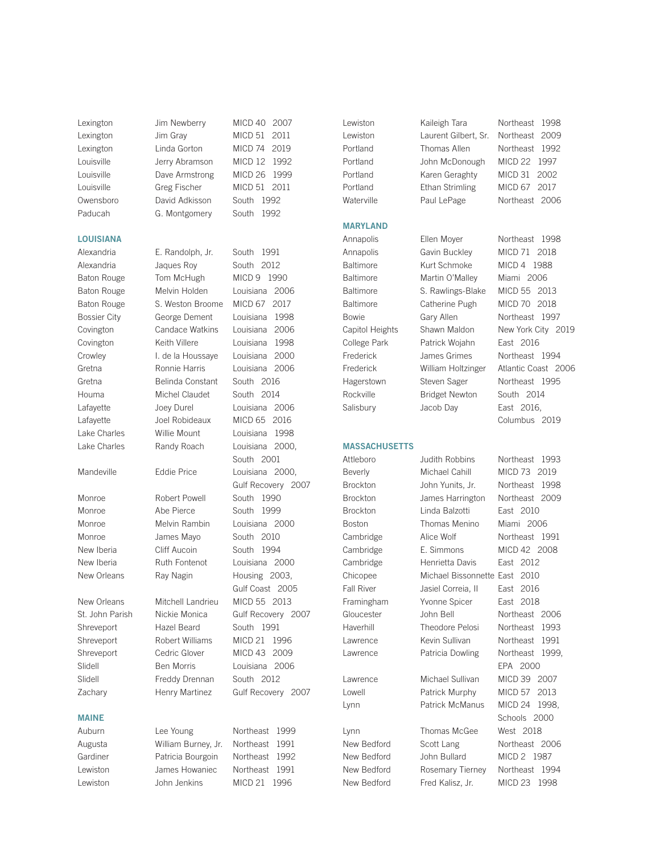Lexington Jim Newberry MICD 40 2007 Paducah G. Montgomery South 1992

# LOUISIANA

Lake Charles Randy Roach Louisiana 2000,

New Orleans Mitchell Landrieu MICD 55 2013 Zachary Henry Martinez Gulf Recovery 2007

# MAINE

Lexington Jim Gray MICD 51 2011 Lexington Linda Gorton MICD 74 2019 Louisville Jerry Abramson MICD 12 1992 Louisville Dave Armstrong MICD 26 1999 Louisville Greg Fischer MICD 51 2011 Owensboro David Adkisson South 1992

Alexandria E. Randolph, Jr. South 1991 Alexandria **Jaques Roy** South 2012 Baton Rouge Tom McHugh MICD 9 1990 Baton Rouge Melvin Holden Louisiana 2006 Baton Rouge S. Weston Broome MICD 67 2017 Bossier City George Dement Louisiana 1998 Covington Candace Watkins Louisiana 2006 Covington Keith Villere Louisiana 1998 Crowley I. de la Houssaye Louisiana 2000 Gretna Ronnie Harris Louisiana 2006 Gretna Belinda Constant South 2016 Houma Michel Claudet South 2014 Lafayette Joey Durel Louisiana 2006 Lafayette Joel Robideaux MICD 65 2016 Lake Charles Willie Mount Louisiana 1998

### Mandeville Eddie Price Louisiana 2000,

Monroe Robert Powell South 1990 Monroe Abe Pierce South 1999 Monroe Melvin Rambin Louisiana 2000 Monroe James Mayo South 2010 New Iberia **Cliff Aucoin** South 1994 New Iberia **Ruth Fontenot** Louisiana 2000 New Orleans Ray Nagin Housing 2003,

St. John Parish Nickie Monica Gulf Recovery 2007 Shreveport Hazel Beard South 1991 Shreveport Robert Williams MICD 21 1996 Shreveport Cedric Glover MICD 43 2009 Slidell Ben Morris Louisiana 2006 Slidell Freddy Drennan South 2012

Auburn Lee Young Northeast 1999 Augusta William Burney, Jr. Northeast 1991 Gardiner **Patricia Bourgoin** Northeast 1992 Lewiston James Howaniec Northeast 1991 Lewiston John Jenkins MICD 21 1996

South 2001

Gulf Recovery 2007

Gulf Coast 2005

# MARYLAND

## MASSACHUSETTS

Brockton Linda Balzotti East 2010 Cambridge Henrietta Davis East 2012 Chicopee Michael Bissonnette East 2010

Lewiston Laurent Gilbert, Sr. Northeast 2009 Portland Thomas Allen Northeast 1992 Portland John McDonough MICD 22 1997 Portland Karen Geraghty MICD 31 2002 Portland Ethan Strimling MICD 67 2017 Waterville Paul LePage Northeast 2006

Baltimore Kurt Schmoke MICD 4 1988 Baltimore Martin O'Malley Miami 2006 Baltimore S. Rawlings-Blake MICD 55 2013 Baltimore Catherine Pugh MICD 70 2018 College Park Patrick Wojahn East 2016 Rockville Bridget Newton South 2014

Lewiston Kaileigh Tara Northeast 1998

Annapolis Ellen Moyer Northeast 1998 Annapolis Gavin Buckley MICD 71 2018 Bowie Gary Allen Northeast 1997 Capitol Heights Shawn Maldon New York City 2019 Frederick James Grimes Northeast 1994 Frederick William Holtzinger Atlantic Coast 2006 Hagerstown Steven Sager Northeast 1995 Salisbury Jacob Day East 2016, Columbus 2019

Attleboro Judith Robbins Northeast 1993 Beverly Michael Cahill MICD 73 2019 Brockton John Yunits, Jr. Northeast 1998 Brockton James Harrington Northeast 2009 Boston Thomas Menino Miami 2006 Cambridge Alice Wolf Northeast 1991 Cambridge E. Simmons MICD 42 2008 Fall River Jasiel Correia, II East 2016 Framingham Yvonne Spicer East 2018 Gloucester John Bell Northeast 2006 Haverhill Theodore Pelosi Northeast 1993 Lawrence Kevin Sullivan Northeast 1991 Lawrence Patricia Dowling Northeast 1999, EPA 2000 Lawrence Michael Sullivan MICD 39 2007 Lowell Patrick Murphy MICD 57 2013 Lynn Patrick McManus MICD 24 1998, Schools 2000 Lynn Thomas McGee West 2018 New Bedford Scott Lang Northeast 2006 New Bedford John Bullard MICD 2 1987 New Bedford Rosemary Tierney Northeast 1994 New Bedford Fred Kalisz, Jr. MICD 23 1998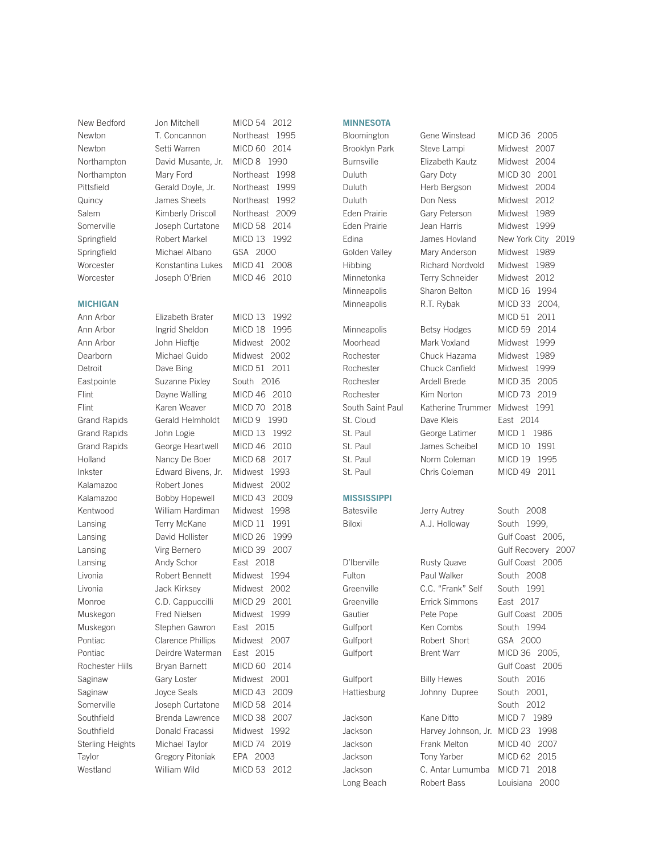## **MICHIGAN**

Springfield Michael Albano GSA 2000

New Bedford Jon Mitchell MICD 54 2012 Newton T. Concannon Northeast 1995 Newton Setti Warren MICD 60 2014 Northampton David Musante, Jr. MICD 8 1990 Northampton Mary Ford Northeast 1998 Pittsfield Gerald Doyle, Jr. Northeast 1999 Quincy James Sheets Northeast 1992 Salem Kimberly Driscoll Northeast 2009 Somerville Joseph Curtatone MICD 58 2014 Springfield Robert Markel MICD 13 1992 Worcester Konstantina Lukes MICD 41 2008 Worcester Joseph O'Brien MICD 46 2010

Ann Arbor Elizabeth Brater MICD 13 1992 Ann Arbor Ingrid Sheldon MICD 18 1995 Ann Arbor John Hieftje Midwest 2002 Dearborn Michael Guido Midwest 2002 Detroit Dave Bing MICD 51 2011 Eastpointe Suzanne Pixley South 2016 Flint Dayne Walling MICD 46 2010 Flint Karen Weaver MICD 70 2018 Grand Rapids Gerald Helmholdt MICD 9 1990 Grand Rapids John Logie MICD 13 1992 Grand Rapids George Heartwell MICD 46 2010 Holland Nancy De Boer MICD 68 2017 Inkster Edward Bivens, Jr. Midwest 1993 Kalamazoo Robert Jones Midwest 2002 Kalamazoo Bobby Hopewell MICD 43 2009 Kentwood William Hardiman Midwest 1998 Lansing Terry McKane MICD 11 1991 Lansing David Hollister MICD 26 1999 Lansing Virg Bernero MICD 39 2007 Lansing **Andy Schor** East 2018 Livonia Robert Bennett Midwest 1994 Livonia Jack Kirksey Midwest 2002 Monroe C.D. Cappuccilli MICD 29 2001 Muskegon Fred Nielsen Midwest 1999 Muskegon Stephen Gawron East 2015 Pontiac Clarence Phillips Midwest 2007 Pontiac Deirdre Waterman East 2015 Rochester Hills Bryan Barnett MICD 60 2014 Saginaw Gary Loster Midwest 2001 Saginaw Joyce Seals MICD 43 2009 Somerville Joseph Curtatone MICD 58 2014 Southfield Brenda Lawrence MICD 38 2007 Southfield Donald Fracassi Midwest 1992 Sterling Heights Michael Taylor MICD 74 2019 Taylor **Gregory Pitoniak** EPA 2003 Westland William Wild MICD 53 2012

# **MINNESOTA**

Brooklyn Park Steve Lampi Midwest 2007 Burnsville Elizabeth Kautz Midwest 2004 Duluth Gary Doty MICD 30 2001

**MISSISSIPPI** 

St. Cloud Dave Kleis East 2014 St. Paul **George Latimer** MICD 1 1986

# Batesville **Jerry Autrey** South 2008 Biloxi **A.J. Holloway** South 1999, D'Iberville Rusty Quave Gulf Coast 2005 Fulton Paul Walker South 2008 Greenville C.C. "Frank" Self South 1991 Greenville **Errick Simmons** East 2017 Gautier **Pete Pope** Gulf Coast 2005 Gulfport Ken Combs South 1994 Gulfport Robert Short GSA 2000 Gulfport Brent Warr MICD 36 2005,

Gulfport Billy Hewes South 2016 Hattiesburg Johnny Dupree South 2001, Jackson Kane Ditto MICD 7 1989 Jackson Harvey Johnson, Jr. MICD 23 1998 Jackson Frank Melton MICD 40 2007 Jackson Tony Yarber MICD 62 2015 Jackson C. Antar Lumumba MICD 71 2018 Long Beach Robert Bass Louisiana 2000

Duluth Herb Bergson Midwest 2004 Duluth Don Ness Midwest 2012 Eden Prairie Gary Peterson Midwest 1989 Eden Prairie **Jean Harris** Midwest 1999 Edina **James Hovland** New York City 2019 Golden Valley Mary Anderson Midwest 1989 Hibbing Richard Nordvold Midwest 1989 Minnetonka Terry Schneider Midwest 2012 Minneapolis Sharon Belton MICD 16 1994 Minneapolis R.T. Rybak MICD 33 2004, MICD 51 2011 Minneapolis Betsy Hodges MICD 59 2014 Moorhead Mark Voxland Midwest 1999 Rochester Chuck Hazama Midwest 1989 Rochester Chuck Canfield Midwest 1999 Rochester Ardell Brede MICD 35 2005 Rochester Kim Norton MICD 73 2019 South Saint Paul Katherine Trummer Midwest 1991 St. Paul James Scheibel MICD 10 1991 St. Paul Norm Coleman MICD 19 1995 St. Paul Chris Coleman MICD 49 2011

 Gulf Coast 2005, Gulf Recovery 2007 Gulf Coast 2005 South 2012

# Bloomington Gene Winstead MICD 36 2005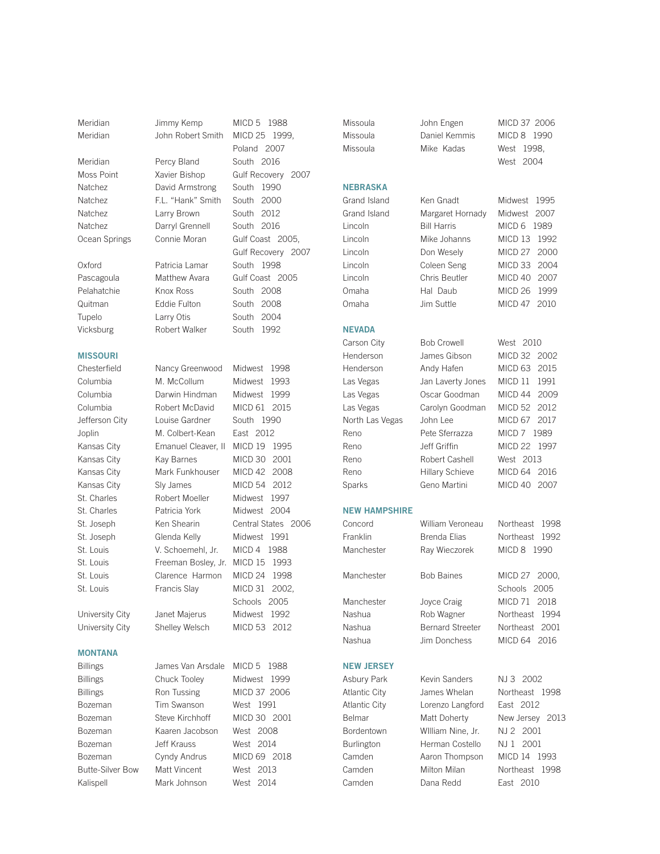# MISSOURI

# MONTANA

| <b>Billings</b>         | James Van Arsdale | MICD 5 1988  |
|-------------------------|-------------------|--------------|
| <b>Billings</b>         | Chuck Tooley      | Midwest 1999 |
| <b>Billings</b>         | Ron Tussing       | MICD 37 2006 |
| Bozeman                 | Tim Swanson       | West 1991    |
| Bozeman                 | Steve Kirchhoff   | MICD 30 2001 |
| <b>Bozeman</b>          | Kaaren Jacobson   | West 2008    |
| Bozeman                 | Jeff Krauss       | West 2014    |
| Bozeman                 | Cyndy Andrus      | MICD 69 2018 |
| <b>Butte-Silver Bow</b> | Matt Vincent      | West 2013    |
| Kalispell               | Mark Johnson      | West 2014    |

Meridian Jimmy Kemp MICD 5 1988 Meridian John Robert Smith MICD 25 1999, Poland 2007 Meridian Percy Bland South 2016 Moss Point Xavier Bishop Gulf Recovery 2007 Natchez David Armstrong South 1990 Natchez F.L. "Hank" Smith South 2000 Natchez Larry Brown South 2012 Natchez Darryl Grennell South 2016 Ocean Springs Connie Moran Gulf Coast 2005, Gulf Recovery 2007 Oxford Patricia Lamar South 1998 Pascagoula Matthew Avara Gulf Coast 2005 Pelahatchie Knox Ross South 2008 Quitman Eddie Fulton South 2008 Tupelo Larry Otis South 2004 Vicksburg Robert Walker South 1992

Chesterfield Nancy Greenwood Midwest 1998 Columbia M. McCollum Midwest 1993 Columbia Darwin Hindman Midwest 1999 Columbia Robert McDavid MICD 61 2015 Jefferson City Louise Gardner South 1990 Joplin M. Colbert-Kean East 2012 Kansas City Emanuel Cleaver, II MICD 19 1995 Kansas City Kay Barnes MICD 30 2001 Kansas City Mark Funkhouser MICD 42 2008 Kansas City Sly James MICD 54 2012 St. Charles Robert Moeller Midwest 1997 St. Charles Patricia York Midwest 2004 St. Joseph Ken Shearin Central States 2006 St. Joseph Glenda Kelly Midwest 1991 St. Louis V. Schoemehl, Jr. MICD 4 1988 St. Louis Freeman Bosley, Jr. MICD 15 1993 St. Louis Clarence Harmon MICD 24 1998 St. Louis Francis Slay MICD 31 2002, Schools 2005 University City Janet Majerus Midwest 1992 University City Shelley Welsch MICD 53 2012

# Missoula Mike NEBRASKA Grand Island Ken G Grand Island Marga Lincoln Bill Harris Michael 6 1989 NEVADA Carson City Bob 0 NEW HAMPSHIRE Manchester Ray V NEW JERSEY Asbury Park Kevin Sanders NJ 3 2002 Atlantic City James Whelan Northeast 1998 Atlantic City Lorenzo Langford East 2012 Belmar Matt Doherty New Jersey 2013 Bordentown WIlliam Nine, Jr. NJ 2 2001 Burlington Herman Costello NJ 1 2001 Camden **Aaron Thompson** MICD 14 1993 Camden Milton Milan Northeast 1998 Camden Dana Redd East 2010

| Missoula             | Daniel Kemmis           | MICD <sub>8</sub><br>1990   |
|----------------------|-------------------------|-----------------------------|
| Missoula             | Mike Kadas              | 1998.<br>West               |
|                      |                         | 2004<br>West                |
|                      |                         |                             |
| <b>NEBRASKA</b>      |                         |                             |
| Grand Island         | Ken Gnadt               | 1995<br>Midwest             |
| Grand Island         | Margaret Hornady        | Midwest<br>2007             |
| Lincoln              | <b>Bill Harris</b>      | MICD 6<br>1989              |
| Lincoln              | Mike Johanns            | MICD <sub>13</sub><br>1992  |
| Lincoln              | Don Wesely              | MICD 27<br>2000             |
| Lincoln              | Coleen Seng             | MICD 33<br>2004             |
| Lincoln              | Chris Beutler           | MICD 40<br>2007             |
| Omaha                | Hal Daub                | MICD <sub>26</sub><br>1999  |
| Omaha                | Jim Suttle              | MICD 47<br>2010             |
| <b>NEVADA</b>        |                         |                             |
| Carson City          | <b>Bob Crowell</b>      | West 2010                   |
| Henderson            | James Gibson            | MICD 32<br>2002             |
| Henderson            | Andy Hafen              | MICD 63<br>2015             |
| Las Vegas            | Jan Laverty Jones       | MICD 11<br>1991             |
| Las Vegas            | Oscar Goodman           | MICD 44<br>2009             |
| Las Vegas            | Carolyn Goodman         | MICD 52<br>2012             |
| North Las Vegas      | John Lee                | MICD <sub>67</sub><br>2017  |
| Reno                 | Pete Sferrazza          | MICD 7<br>1989              |
| Reno                 | Jeff Griffin            | MICD <sub>22</sub><br>1997  |
| Reno                 | Robert Cashell          | West 2013                   |
| Reno                 | <b>Hillary Schieve</b>  | MICD 64<br>2016             |
| Sparks               | Geno Martini            | MICD <sub>40</sub><br>2007  |
| <b>NEW HAMPSHIRE</b> |                         |                             |
| Concord              | William Veroneau        | Northeast<br>1998           |
| Franklin             | <b>Brenda Elias</b>     | Northeast<br>1992           |
| Manchester           | Ray Wieczorek           | MICD <sub>8</sub><br>1990   |
| Manchester           | <b>Bob Baines</b>       | MICD <sub>27</sub><br>2000. |
|                      |                         | Schools<br>2005             |
| Manchester           | Joyce Craig             | MICD 71<br>2018             |
| Nashua               | Rob Wagner              | 1994<br>Northeast           |
| Nashua               | <b>Bernard Streeter</b> | 2001<br><b>Northeast</b>    |
| Nashua               | <b>Jim Donchess</b>     | MICD 64<br>2016             |
| <b>NEW JERSEY</b>    |                         |                             |

Missoula John Engen MICD 37 2006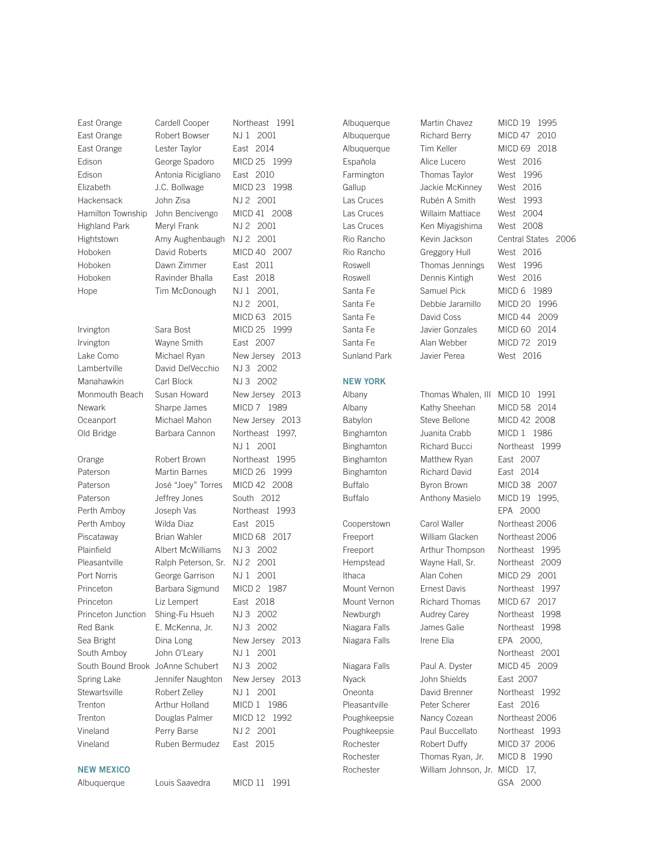East Orange Cardell Cooper Northeast 1991

Irvington Sara Bost MICD 25 1999 Irvington Wayne Smith East 2007 Lambertville David DelVecchio NJ 3 2002 Manahawkin Carl Block NJ 3 2002 Newark Sharpe James MICD 7 1989

# NEW MEXICO

East Orange Robert Bowser NJ 1 2001 East Orange Lester Taylor East 2014 Edison George Spadoro MICD 25 1999 Edison Antonia Ricigliano East 2010 Elizabeth J.C. Bollwage MICD 23 1998 Hackensack John Zisa NJ 2 2001 Hamilton Township John Bencivengo MICD 41 2008 Highland Park Meryl Frank NJ 2 2001 Hightstown Amy Aughenbaugh NJ 2 2001 Hoboken David Roberts MICD 40 2007 Hoboken Dawn Zimmer East 2011 Hoboken Ravinder Bhalla East 2018 Hope Tim McDonough NJ 1 2001,

Orange Robert Brown Northeast 1995 Paterson Martin Barnes MICD 26 1999 Paterson José "Joey" Torres MICD 42 2008 Paterson Jeffrey Jones South 2012 Perth Amboy Joseph Vas Northeast 1993 Perth Amboy Wilda Diaz East 2015 Piscataway Brian Wahler MICD 68 2017 Plainfield Albert McWilliams NJ 3 2002 Pleasantville Ralph Peterson, Sr. NJ 2 2001 Port Norris George Garrison NJ 1 2001 Princeton Barbara Sigmund MICD 2 1987 Princeton Liz Lempert East 2018 Princeton Junction Shing-Fu Hsueh NJ 3 2002 Red Bank E. McKenna, Jr. NJ 3 2002 South Amboy John O'Leary NJ 1 2001 South Bound Brook JoAnne Schubert NJ 3 2002 Stewartsville Robert Zelley NJ 1 2001 Trenton **Arthur Holland** MICD 1 1986 Trenton Douglas Palmer MICD 12 1992 Vineland Perry Barse NJ 2 2001 Vineland Ruben Bermudez East 2015

 NJ 2 2001, MICD 63 2015 Lake Como Michael Ryan New Jersey 2013 Monmouth Beach Susan Howard New Jersey 2013 Oceanport Michael Mahon New Jersey 2013 Old Bridge Barbara Cannon Northeast 1997, NJ 1 2001 Sea Bright Dina Long New Jersey 2013 Spring Lake Jennifer Naughton New Jersey 2013

NEW YORK

Albuquerque Martin Chavez MICD 19 1995

Albuquerque Richard Berry MICD 47 2010 Albuquerque Tim Keller MICD 69 2018 Española Alice Lucero West 2016 Farmington Thomas Taylor West 1996 Gallup Jackie McKinney West 2016 Las Cruces Rubén A Smith West 1993 Las Cruces Willaim Mattiace West 2004 Las Cruces Ken Miyagishima West 2008 Rio Rancho Kevin Jackson Central States 2006 Rio Rancho Greggory Hull West 2016 Roswell Thomas Jennings West 1996 Roswell **Dennis Kintigh** West 2016 Santa Fe Samuel Pick MICD 6 1989 Santa Fe **Debbie Jaramillo** MICD 20 1996 Santa Fe David Coss MICD 44 2009 Santa Fe **Javier Gonzales** MICD 60 2014 Santa Fe **Alan Webber** MICD 72 2019 Sunland Park Javier Perea West 2016

Albany Thomas Whalen, III MICD 10 1991 Albany Kathy Sheehan MICD 58 2014 Babylon Steve Bellone MICD 42 2008 Binghamton Juanita Crabb MICD 1 1986 Binghamton Richard Bucci Northeast 1999 Binghamton Matthew Ryan East 2007 Binghamton Richard David East 2014 Buffalo Byron Brown MICD 38 2007 Buffalo **Anthony Masielo** MICD 19 1995, EPA 2000 Cooperstown Carol Waller Northeast 2006 Freeport William Glacken Northeast 2006 Freeport Arthur Thompson Northeast 1995 Hempstead Wayne Hall, Sr. Northeast 2009 Ithaca Alan Cohen MICD 29 2001 Mount Vernon Ernest Davis Northeast 1997 Mount Vernon Richard Thomas MICD 67 2017 Newburgh Audrey Carey Northeast 1998 Niagara Falls James Galie Northeast 1998 Niagara Falls Irene Elia EPA 2000, Northeast 2001 Niagara Falls Paul A. Dyster MICD 45 2009 Nyack John Shields East 2007 Oneonta David Brenner Northeast 1992 Pleasantville Peter Scherer East 2016 Poughkeepsie Nancy Cozean Northeast 2006 Poughkeepsie Paul Buccellato Northeast 1993 Rochester Robert Duffy MICD 37 2006 Rochester Thomas Ryan, Jr. MICD 8 1990 Rochester William Johnson, Jr. MICD 17, GSA 2000

Albuquerque Louis Saavedra MICD 11 1991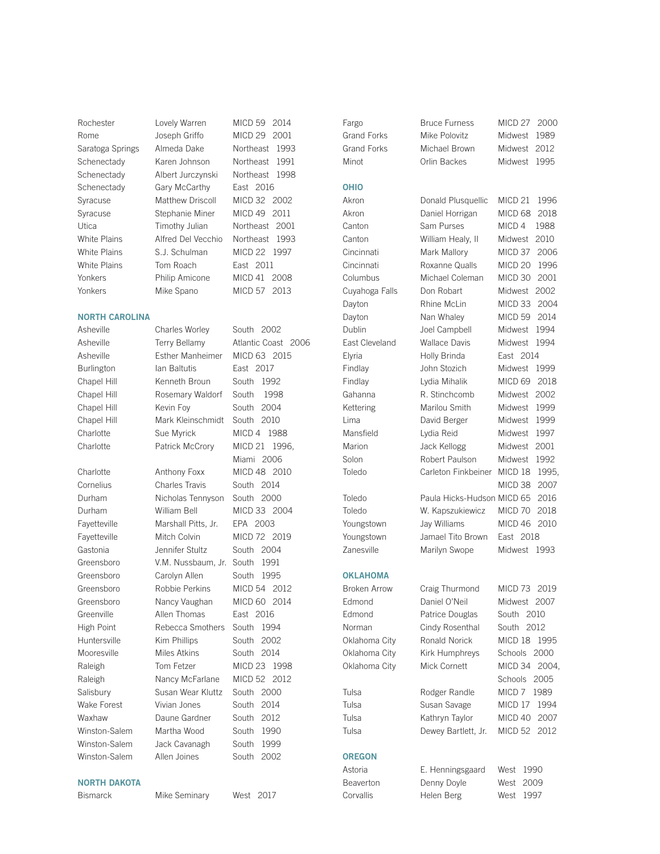Rochester Lovely Warren MICD 59 2014 Rome Joseph Griffo MICD 29 2001 Saratoga Springs Almeda Dake Northeast 1993 Schenectady Karen Johnson Northeast 1991 Schenectady Albert Jurczynski Northeast 1998 Schenectady Gary McCarthy East 2016 Syracuse Matthew Driscoll MICD 32 2002 Syracuse Stephanie Miner MICD 49 2011 Utica **Timothy Julian** Northeast 2001 White Plains Alfred Del Vecchio Northeast 1993 White Plains S.J. Schulman MICD 22 1997 White Plains Tom Roach East 2011 Yonkers Philip Amicone MICD 41 2008

# Yonkers Mike Spano MICD 57 2013

# NORTH CAROLINA Asheville Charles Worley South 2002

# NORTH DAKOTA

Bismarck Mike Seminary West 2017

Asheville Esther Manheimer MICD 63 2015 Burlington Ian Baltutis East 2017 Chapel Hill Kenneth Broun South 1992 Chapel Hill Rosemary Waldorf South 1998 Chapel Hill Kevin Foy South 2004 Chapel Hill Mark Kleinschmidt South 2010 Charlotte Sue Myrick MICD 4 1988 Charlotte Patrick McCrory MICD 21 1996, Charlotte Anthony Foxx MICD 48 2010 Cornelius Charles Travis South 2014 Durham Nicholas Tennyson South 2000 Durham William Bell MICD 33 2004 Fayetteville Marshall Pitts, Jr. EPA 2003 Fayetteville Mitch Colvin MICD 72 2019 Gastonia **Jennifer Stultz** South 2004 Greensboro V.M. Nussbaum, Jr. South 1991 Greensboro Carolyn Allen South 1995 Greensboro Robbie Perkins MICD 54 2012 Greensboro Nancy Vaughan MICD 60 2014 Greenville Allen Thomas East 2016 High Point Rebecca Smothers South 1994 Huntersville Kim Phillips South 2002 Mooresville Miles Atkins South 2014 Raleigh Tom Fetzer MICD 23 1998 Raleigh Nancy McFarlane MICD 52 2012 Salisbury Susan Wear Kluttz South 2000 Wake Forest Vivian Jones South 2014 Waxhaw Daune Gardner South 2012 Winston-Salem Martha Wood South 1990 Winston-Salem Jack Cavanagh South 1999 Winston-Salem Allen Joines South 2002

Asheville Terry Bellamy Atlantic Coast 2006 Miami 2006

Fargo Bruce Furness MICD 27 2000

Grand Forks Mike Polovitz Midwest 1989 Grand Forks Michael Brown Midwest 2012

# OHIO

# **OKLAHOMA**

- 
- 

# OREGON

Minot **Orlin Backes** Midwest 1995 Akron Donald Plusquellic MICD 21 1996 Akron Daniel Horrigan MICD 68 2018 Canton Sam Purses MICD 4 1988 Canton William Healy, II Midwest 2010 Cincinnati Mark Mallory MICD 37 2006 Cincinnati Roxanne Qualls MICD 20 1996 Columbus Michael Coleman MICD 30 2001 Cuyahoga Falls Don Robart Midwest 2002 Dayton Rhine McLin MICD 33 2004 Dayton Nan Whaley MICD 59 2014 Dublin Joel Campbell Midwest 1994 East Cleveland Wallace Davis Midwest 1994 Elyria Holly Brinda East 2014 Findlay John Stozich Midwest 1999 Findlay Lydia Mihalik MICD 69 2018 Gahanna R. Stinchcomb Midwest 2002 Kettering Marilou Smith Midwest 1999 Lima David Berger Midwest 1999 Mansfield Lydia Reid Midwest 1997 Marion **Jack Kellogg** Midwest 2001 Solon Robert Paulson Midwest 1992 Toledo Carleton Finkbeiner MICD 18 1995, MICD 38 2007 Toledo Paula Hicks-Hudson MICD 65 2016 Toledo W. Kapszukiewicz MICD 70 2018 Youngstown Jay Williams MICD 46 2010 Youngstown Jamael Tito Brown East 2018 Zanesville Marilyn Swope Midwest 1993 Broken Arrow Craig Thurmond MICD 73 2019 Edmond Daniel O'Neil Midwest 2007 Edmond Patrice Douglas South 2010 Norman Cindy Rosenthal South 2012 Oklahoma City Ronald Norick MICD 18 1995 Oklahoma City Kirk Humphreys Schools 2000 Oklahoma City Mick Cornett MICD 34 2004, Schools 2005 Tulsa Rodger Randle MICD 7 1989 Tulsa Susan Savage MICD 17 1994 Tulsa Kathryn Taylor MICD 40 2007 Tulsa Dewey Bartlett, Jr. MICD 52 2012

Beaverton Denny Doyle Corvallis Helen Berg

Astoria E. Henningsgaard West 1990

| VVCSI 1.7.7V |
|--------------|
| West 2009    |
| West 1997    |
|              |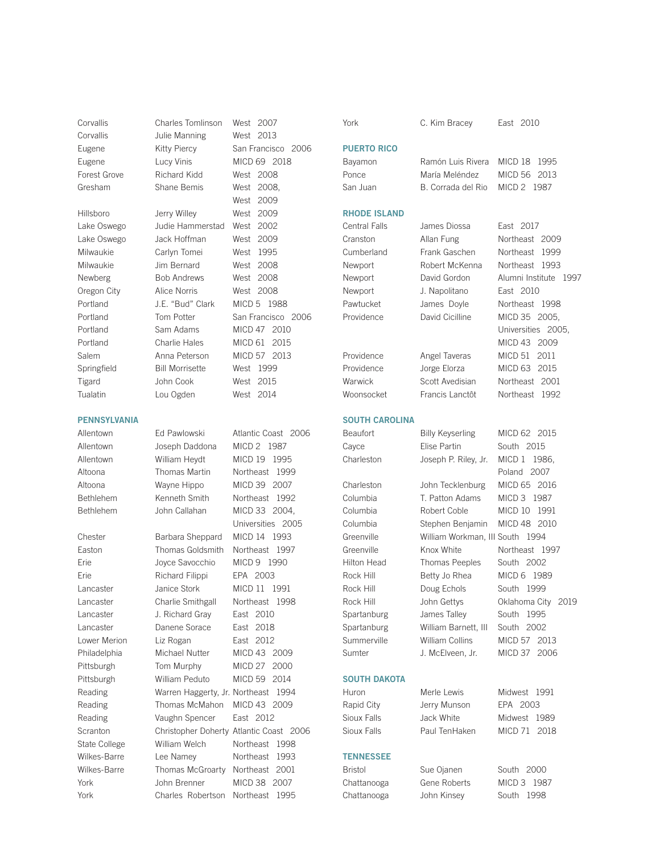# PENNSYLVANIA

Corvallis Charles Tomlinson West 2007 Corvallis Julie Manning West 2013 Forest Grove Richard Kidd West 2008 Gresham Shane Bemis West 2008, Hillsboro Jerry Willey West 2009 Lake Oswego Judie Hammerstad West 2002

Lake Oswego Jack Hoffman West 2009 Milwaukie Carlyn Tomei West 1995 Milwaukie Jim Bernard West 2008 Newberg Bob Andrews West 2008 Oregon City Alice Norris West 2008 Springfield Bill Morrisette West 1999 Tigard John Cook West 2015

Eugene **Kitty Piercy** San Francisco 2006 Eugene Lucy Vinis MICD 69 2018 West 2009 Portland J.E. "Bud" Clark MICD 5 1988 Portland Tom Potter San Francisco 2006 Portland Sam Adams MICD 47 2010 Portland Charlie Hales MICD 61 2015 Salem Anna Peterson MICD 57 2013 Tualatin Lou Ogden West 2014

Allentown Ed Pawlowski Atlantic Coast 2006 Allentown Joseph Daddona MICD 2 1987 Allentown William Heydt MICD 19 1995 Altoona Thomas Martin Northeast 1999 Altoona Wayne Hippo MICD 39 2007 Bethlehem Kenneth Smith Northeast 1992 Bethlehem John Callahan MICD 33 2004, Universities 2005 Chester Barbara Sheppard MICD 14 1993 Easton Thomas Goldsmith Northeast 1997 Erie Joyce Savocchio MICD 9 1990 Erie Richard Filippi EPA 2003 Lancaster Janice Stork MICD 11 1991 Lancaster Charlie Smithgall Northeast 1998 Lancaster J. Richard Gray East 2010 Lancaster Danene Sorace East 2018 Lower Merion Liz Rogan East 2012 Philadelphia Michael Nutter MICD 43 2009 Pittsburgh Tom Murphy MICD 27 2000 Pittsburgh William Peduto MICD 59 2014 Reading Warren Haggerty, Jr. Northeast 1994 Reading Thomas McMahon MICD 43 2009 Reading Vaughn Spencer East 2012 Scranton Christopher Doherty Atlantic Coast 2006 State College William Welch Northeast 1998 Wilkes-Barre Lee Namey Northeast 1993 Wilkes-Barre Thomas McGroarty Northeast 2001 York John Brenner MICD 38 2007 York Charles Robertson Northeast 1995

# PUERTO RICO

# RHODE ISLAND

Central Falls James Diossa East 2017

Cranston Allan Fung Northeast 2009

# SOUTH DAKOTA

# **TENNESSEE**

York C. Kim Bracey East 2010

Bayamon Ramón Luis Rivera MICD 18 1995 Ponce María Meléndez MICD 56 2013 San Juan B. Corrada del Rio MICD 2 1987

Cumberland Frank Gaschen Northeast 1999 Newport Robert McKenna Northeast 1993 Newport David Gordon Alumni Institute 1997 Newport J. Napolitano East 2010 Pawtucket James Doyle Northeast 1998 Providence David Cicilline MICD 35 2005, Universities 2005, MICD 43 2009 Providence Angel Taveras MICD 51 2011 Providence Jorge Elorza MICD 63 2015

# SOUTH CAROLINA

Charleston Joseph P. Riley, Jr. MICD 1 1986, Charleston John Tecklenburg MICD 65 2016 Columbia T. Patton Adams MICD 3 1987 Columbia Robert Coble MICD 10 1991 Columbia Stephen Benjamin MICD 48 2010 Greenville William Workman, III South 1994 Greenville Knox White Northeast 1997 Hilton Head Thomas Peeples South 2002 Rock Hill Betty Jo Rhea MICD 6 1989 Rock Hill **Doug Echols** South 1999 Spartanburg James Talley South 1995 Spartanburg William Barnett, III South 2002 Summerville William Collins MICD 57 2013

Warwick Scott Avedisian Northeast 2001 Woonsocket Francis Lanctôt Northeast 1992 Beaufort Billy Keyserling MICD 62 2015 Cayce **Elise Partin** South 2015 Poland 2007

Rock Hill **John Gettys** Oklahoma City 2019 Sumter J. McElveen, Jr. MICD 37 2006

Rapid City Jerry Munson EPA 2003 Sioux Falls **Jack White** Midwest 1989 Sioux Falls Paul TenHaken MICD 71 2018

Bristol Sue Ojanen South 2000 Chattanooga Gene Roberts MICD 3 1987 Chattanooga John Kinsey South 1998

Huron Merle Lewis Midwest 1991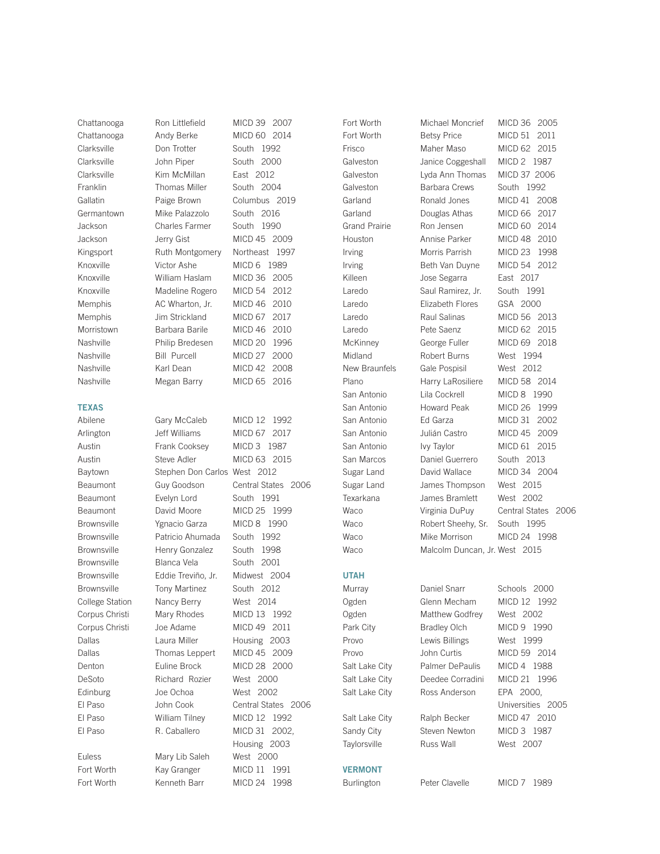# TEXAS

Chattanooga Ron Littlefield MICD 39 2007 Chattanooga Andy Berke MICD 60 2014 Clarksville Don Trotter South 1992 Clarksville John Piper South 2000 Clarksville Kim McMillan East 2012 Franklin Thomas Miller South 2004 Gallatin **Paige Brown** Columbus 2019 Germantown Mike Palazzolo South 2016 Jackson Charles Farmer South 1990 Jackson Jerry Gist MICD 45 2009 Kingsport Ruth Montgomery Northeast 1997 Knoxville Victor Ashe MICD 6 1989 Knoxville William Haslam MICD 36 2005 Knoxville Madeline Rogero MICD 54 2012 Memphis AC Wharton, Jr. MICD 46 2010 Memphis Jim Strickland MICD 67 2017 Morristown Barbara Barile MICD 46 2010 Nashville Philip Bredesen MICD 20 1996 Nashville Bill Purcell MICD 27 2000

Nashville Karl Dean MICD 42 2008 Nashville Megan Barry MICD 65 2016 Abilene Gary McCaleb MICD 12 1992 Arlington Jeff Williams MICD 67 2017 Austin Frank Cooksey MICD 3 1987 Austin Steve Adler MICD 63 2015 Baytown Stephen Don Carlos West 2012 Beaumont Evelyn Lord South 1991 Beaumont David Moore MICD 25 1999 Brownsville Ygnacio Garza MICD 8 1990 Brownsville Patricio Ahumada South 1992 Brownsville Henry Gonzalez South 1998 Brownsville Blanca Vela South 2001 Brownsville Eddie Treviño, Jr. Midwest 2004 Brownsville Tony Martinez South 2012 College Station Nancy Berry West 2014 Corpus Christi Mary Rhodes MICD 13 1992 Corpus Christi Joe Adame MICD 49 2011 Dallas **Laura Miller** Housing 2003 Dallas Thomas Leppert MICD 45 2009 Denton Euline Brock MICD 28 2000 DeSoto Richard Rozier West 2000 Edinburg Joe Ochoa West 2002 El Paso William Tilney MICD 12 1992 El Paso R. Caballero MICD 31 2002, Euless Mary Lib Saleh West 2000

Beaumont Guy Goodson Central States 2006 El Paso John Cook Central States 2006 Housing 2003 Fort Worth Kay Granger MICD 11 1991 Fort Worth Kenneth Barr MICD 24 1998

UTAH Taylorsville Russ Wall Mest 2007 VERMONT

Fort Worth Michael Moncrief MICD 36 2005 Galveston Janice Coggeshall MICD 2 1987 Galveston Barbara Crews South 1992 Killeen Jose Segarra East 2017 Laredo Saul Ramirez, Jr. South 1991 Laredo Elizabeth Flores GSA 2000 Midland Robert Burns West 1994 New Braunfels Gale Pospisil West 2012 San Antonio Lila Cockrell MICD 8 1990 San Marcos Daniel Guerrero South 2013 Sugar Land James Thompson West 2015 Texarkana James Bramlett West 2002 Waco Robert Sheehy, Sr. South 1995 Waco Malcolm Duncan, Jr. West 2015

Fort Worth Betsy Price MICD 51 2011 Frisco Maher Maso MICD 62 2015 Galveston Lyda Ann Thomas MICD 37 2006 Garland Ronald Jones MICD 41 2008 Garland Douglas Athas MICD 66 2017 Grand Prairie Ron Jensen MICD 60 2014 Houston Annise Parker MICD 48 2010 Irving Morris Parrish MICD 23 1998 Irving Beth Van Duyne MICD 54 2012 Laredo Raul Salinas MICD 56 2013 Laredo Pete Saenz MICD 62 2015 McKinney George Fuller MICD 69 2018 Plano Harry LaRosiliere MICD 58 2014 San Antonio Howard Peak MICD 26 1999 San Antonio Ed Garza MICD 31 2002 San Antonio Julián Castro MICD 45 2009 San Antonio Ivy Taylor MICD 61 2015 Sugar Land David Wallace MICD 34 2004 Waco Virginia DuPuy Central States 2006 Waco Mike Morrison MICD 24 1998

Murray **Daniel Snarr** Schools 2000 Ogden Glenn Mecham MICD 12 1992 Ogden Matthew Godfrey West 2002 Park City **Bradley Olch** MICD 9 1990 Provo Lewis Billings West 1999 Provo John Curtis MICD 59 2014 Salt Lake City Palmer DePaulis MICD 4 1988 Salt Lake City Deedee Corradini MICD 21 1996 Salt Lake City Ross Anderson EPA 2000, Salt Lake City Ralph Becker MICD 47 2010 Sandy City Steven Newton MICD 3 1987

Universities 2005

Burlington Peter Clavelle MICD 7 1989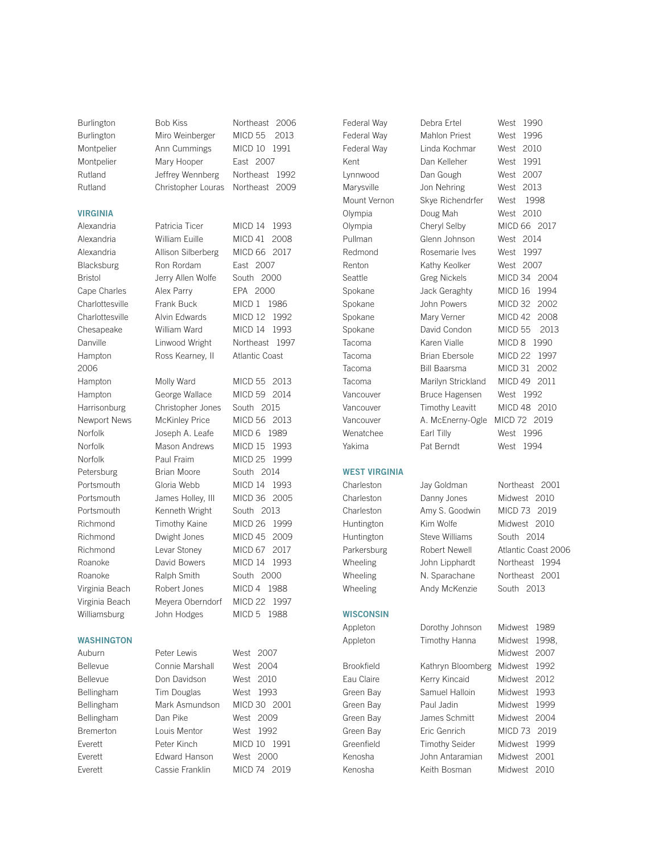# VIRGINIA

2006

Burlington Bob Kiss Northeast 2006 Burlington Miro Weinberger MICD 55 2013 Montpelier Ann Cummings MICD 10 1991 Montpelier Mary Hooper East 2007 Rutland Jeffrey Wennberg Northeast 1992 Rutland Christopher Louras Northeast 2009

Alexandria Patricia Ticer MICD 14 1993 Alexandria William Euille MICD 41 2008 Alexandria Allison Silberberg MICD 66 2017 Blacksburg Ron Rordam East 2007 Bristol Jerry Allen Wolfe South 2000 Cape Charles Alex Parry EPA 2000

**WASHINGTON** 

Charlottesville Frank Buck MICD 1 1986 Charlottesville Alvin Edwards MICD 12 1992

Chesapeake William Ward MICD 14 1993 Danville **Linwood Wright** Northeast 1997 Hampton Ross Kearney, II Atlantic Coast Hampton Molly Ward MICD 55 2013 Hampton George Wallace MICD 59 2014 Harrisonburg Christopher Jones South 2015 Newport News McKinley Price MICD 56 2013 Norfolk Joseph A. Leafe MICD 6 1989 Norfolk Mason Andrews MICD 15 1993 Norfolk Paul Fraim MICD 25 1999 Petersburg Brian Moore South 2014 Portsmouth Gloria Webb MICD 14 1993 Portsmouth James Holley, III MICD 36 2005 Portsmouth Kenneth Wright South 2013 Richmond Timothy Kaine MICD 26 1999 Richmond Dwight Jones MICD 45 2009 Richmond Levar Stoney MICD 67 2017 Roanoke David Bowers MICD 14 1993 Roanoke Ralph Smith South 2000 Virginia Beach Robert Jones MICD 4 1988 Virginia Beach Meyera Oberndorf MICD 22 1997 Williamsburg John Hodges MICD 5 1988 Auburn Peter Lewis West 2007

Bellevue Connie Marshall West 2004 Bellevue Don Davidson West 2010 Bellingham Tim Douglas West 1993 Bellingham Mark Asmundson MICD 30 2001 Bellingham Dan Pike West 2009 Bremerton Louis Mentor West 1992 Everett Peter Kinch MICD 10 1991 Everett Edward Hanson West 2000 Everett Cassie Franklin MICD 74 2019



Charleston Jay Goldman Northeast 2001

Kenosha Keith Bosman Midwest 2010

Federal Way Mahlon Priest West 1996 Federal Way Linda Kochmar West 2010 Kent Dan Kelleher West 1991 Lynnwood Dan Gough West 2007 Marysville Jon Nehring West 2013 Mount Vernon Skye Richendrfer West 1998 Olympia Doug Mah West 2010 Olympia Cheryl Selby MICD 66 2017 Pullman Glenn Johnson West 2014 Redmond Rosemarie Ives West 1997 Renton Kathy Keolker West 2007 Seattle Greg Nickels MICD 34 2004 Spokane Jack Geraghty MICD 16 1994 Spokane John Powers MICD 32 2002 Spokane Mary Verner MICD 42 2008 Spokane David Condon MICD 55 2013 Tacoma **Karen Vialle** MICD 8 1990 Tacoma Brian Ebersole MICD 22 1997 Tacoma Bill Baarsma MICD 31 2002 Tacoma Marilyn Strickland MICD 49 2011 Vancouver Bruce Hagensen West 1992 Vancouver Timothy Leavitt MICD 48 2010 Vancouver A. McEnerny-Ogle MICD 72 2019 Wenatchee Earl Tilly West 1996 Yakima Pat Berndt West 1994

Charleston Danny Jones Midwest 2010 Charleston Amy S. Goodwin MICD 73 2019 Huntington Steve Williams South 2014 Wheeling **Andy McKenzie** South 2013

**WISCONSIN** 

- 
- Kenosha John Antaramian Midwest 2001

Huntington Kim Wolfe Midwest 2010 Parkersburg Robert Newell Atlantic Coast 2006 Wheeling **John Lipphardt** Northeast 1994 Wheeling N. Sparachane Northeast 2001 Appleton Dorothy Johnson Midwest 1989 Appleton Timothy Hanna Midwest 1998, Midwest 2007 Brookfield Kathryn Bloomberg Midwest 1992 Eau Claire **Kerry Kincaid** Midwest 2012 Green Bay Samuel Halloin Midwest 1993 Green Bay **Paul Jadin** Midwest 1999 Green Bay **James Schmitt** Midwest 2004 Green Bay **Eric Genrich** MICD 73 2019 Greenfield Timothy Seider Midwest 1999